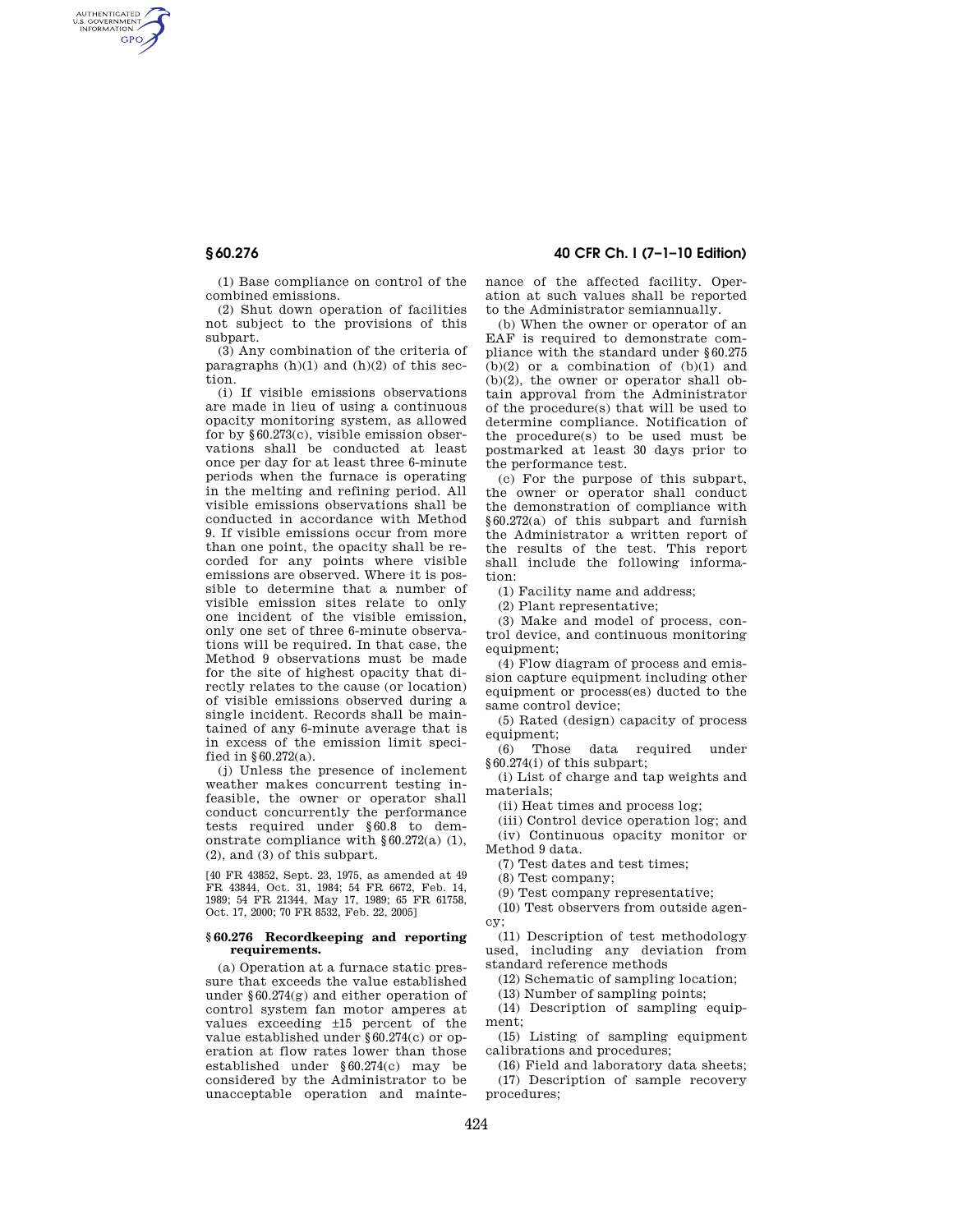AUTHENTICATED<br>U.S. GOVERNMENT<br>INFORMATION **GPO** 

> (1) Base compliance on control of the combined emissions.

> (2) Shut down operation of facilities not subject to the provisions of this subpart.

> (3) Any combination of the criteria of paragraphs  $(h)(1)$  and  $(h)(2)$  of this section.

(i) If visible emissions observations are made in lieu of using a continuous opacity monitoring system, as allowed for by §60.273(c), visible emission observations shall be conducted at least once per day for at least three 6-minute periods when the furnace is operating in the melting and refining period. All visible emissions observations shall be conducted in accordance with Method 9. If visible emissions occur from more than one point, the opacity shall be recorded for any points where visible emissions are observed. Where it is possible to determine that a number of visible emission sites relate to only one incident of the visible emission, only one set of three 6-minute observations will be required. In that case, the Method 9 observations must be made for the site of highest opacity that directly relates to the cause (or location) of visible emissions observed during a single incident. Records shall be maintained of any 6-minute average that is in excess of the emission limit specified in §60.272(a).

(j) Unless the presence of inclement weather makes concurrent testing infeasible, the owner or operator shall conduct concurrently the performance tests required under §60.8 to demonstrate compliance with §60.272(a) (1), (2), and (3) of this subpart.

[40 FR 43852, Sept. 23, 1975, as amended at 49 FR 43844, Oct. 31, 1984; 54 FR 6672, Feb. 14, 1989; 54 FR 21344, May 17, 1989; 65 FR 61758, Oct. 17, 2000; 70 FR 8532, Feb. 22, 2005]

#### **§ 60.276 Recordkeeping and reporting requirements.**

(a) Operation at a furnace static pressure that exceeds the value established under §60.274(g) and either operation of control system fan motor amperes at values exceeding ±15 percent of the value established under §60.274(c) or operation at flow rates lower than those established under §60.274(c) may be considered by the Administrator to be unacceptable operation and mainte-

# **§ 60.276 40 CFR Ch. I (7–1–10 Edition)**

nance of the affected facility. Operation at such values shall be reported to the Administrator semiannually.

(b) When the owner or operator of an EAF is required to demonstrate compliance with the standard under §60.275  $(h)(2)$  or a combination of  $(h)(1)$  and (b)(2), the owner or operator shall obtain approval from the Administrator of the procedure(s) that will be used to determine compliance. Notification of the procedure(s) to be used must be postmarked at least 30 days prior to the performance test.

(c) For the purpose of this subpart, the owner or operator shall conduct the demonstration of compliance with §60.272(a) of this subpart and furnish the Administrator a written report of the results of the test. This report shall include the following information:

(1) Facility name and address;

(2) Plant representative;

(3) Make and model of process, control device, and continuous monitoring equipment;

(4) Flow diagram of process and emission capture equipment including other equipment or process(es) ducted to the same control device;

(5) Rated (design) capacity of process equipment;

(6) Those data required under §60.274(i) of this subpart;

(i) List of charge and tap weights and materials;

(ii) Heat times and process log;

(iii) Control device operation log; and

(iv) Continuous opacity monitor or Method 9 data.

(7) Test dates and test times;

(8) Test company;

(9) Test company representative;

(10) Test observers from outside agency;

(11) Description of test methodology used, including any deviation from standard reference methods

(12) Schematic of sampling location;

(13) Number of sampling points;

(14) Description of sampling equipment;

(15) Listing of sampling equipment calibrations and procedures;

(16) Field and laboratory data sheets; (17) Description of sample recovery procedures;